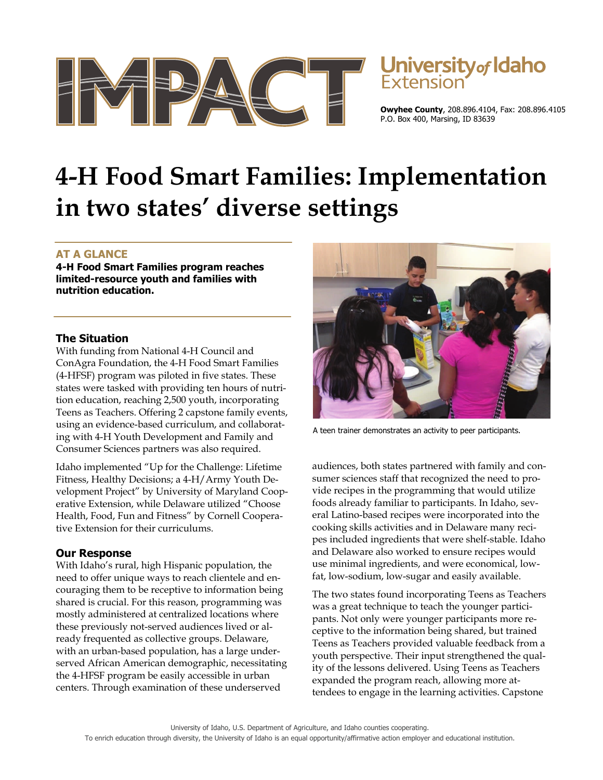



**Owyhee County**, 208.896.4104, Fax: 208.896.4105 P.O. Box 400, Marsing, ID 83639

# **4-H Food Smart Families: Implementation in two states' diverse settings**

# **AT A GLANCE**

**4-H Food Smart Families program reaches limited-resource youth and families with nutrition education.** 

### **The Situation**

With funding from National 4-H Council and ConAgra Foundation, the 4-H Food Smart Families (4-HFSF) program was piloted in five states. These states were tasked with providing ten hours of nutrition education, reaching 2,500 youth, incorporating Teens as Teachers. Offering 2 capstone family events, using an evidence-based curriculum, and collaborating with 4-H Youth Development and Family and Consumer Sciences partners was also required.

Idaho implemented "Up for the Challenge: Lifetime Fitness, Healthy Decisions; a 4-H/Army Youth Development Project" by University of Maryland Cooperative Extension, while Delaware utilized "Choose Health, Food, Fun and Fitness" by Cornell Cooperative Extension for their curriculums.

## **Our Response**

With Idaho's rural, high Hispanic population, the need to offer unique ways to reach clientele and encouraging them to be receptive to information being shared is crucial. For this reason, programming was mostly administered at centralized locations where these previously not-served audiences lived or already frequented as collective groups. Delaware, with an urban-based population, has a large underserved African American demographic, necessitating the 4-HFSF program be easily accessible in urban centers. Through examination of these underserved



A teen trainer demonstrates an activity to peer participants.

audiences, both states partnered with family and consumer sciences staff that recognized the need to provide recipes in the programming that would utilize foods already familiar to participants. In Idaho, several Latino-based recipes were incorporated into the cooking skills activities and in Delaware many recipes included ingredients that were shelf-stable. Idaho and Delaware also worked to ensure recipes would use minimal ingredients, and were economical, lowfat, low-sodium, low-sugar and easily available.

The two states found incorporating Teens as Teachers was a great technique to teach the younger participants. Not only were younger participants more receptive to the information being shared, but trained Teens as Teachers provided valuable feedback from a youth perspective. Their input strengthened the quality of the lessons delivered. Using Teens as Teachers expanded the program reach, allowing more attendees to engage in the learning activities. Capstone